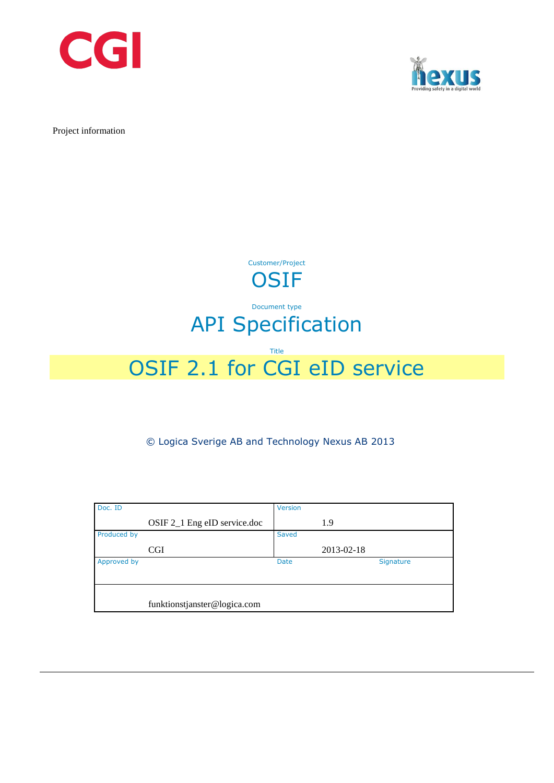



Project information



# Document type API Specification

### Title

# OSIF 2.1 for CGI eID service

© Logica Sverige AB and Technology Nexus AB 2013

| Doc. ID     |                              | Version     |            |
|-------------|------------------------------|-------------|------------|
|             | OSIF 2_1 Eng eID service.doc |             | 1.9        |
| Produced by |                              | Saved       |            |
|             | <b>CGI</b>                   |             | 2013-02-18 |
| Approved by |                              | <b>Date</b> | Signature  |
|             |                              |             |            |
|             |                              |             |            |
|             | funktionstjanster@logica.com |             |            |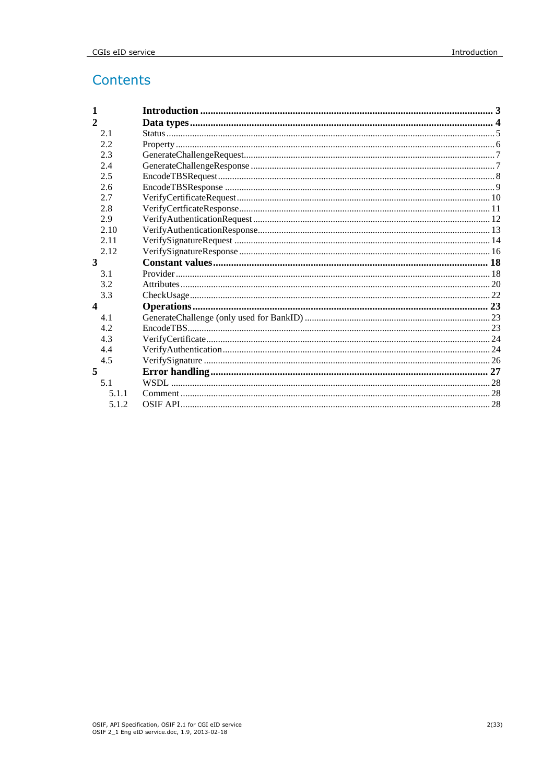# Contents

| 1              |  |
|----------------|--|
| $\overline{2}$ |  |
| 2.1            |  |
| 2.2            |  |
| 2.3            |  |
| 2.4            |  |
| 2.5            |  |
| 2.6            |  |
| 2.7            |  |
| 2.8            |  |
| 2.9            |  |
| 2.10           |  |
| 2.11           |  |
| 2.12           |  |
| 3              |  |
| 3.1            |  |
| 3.2            |  |
| 3.3            |  |
| 4              |  |
| 4.1            |  |
| 4.2            |  |
| 4.3            |  |
| 4.4            |  |
| 4.5            |  |
| 5              |  |
| 5.1            |  |
| 5.1.1          |  |
| 5.1.2          |  |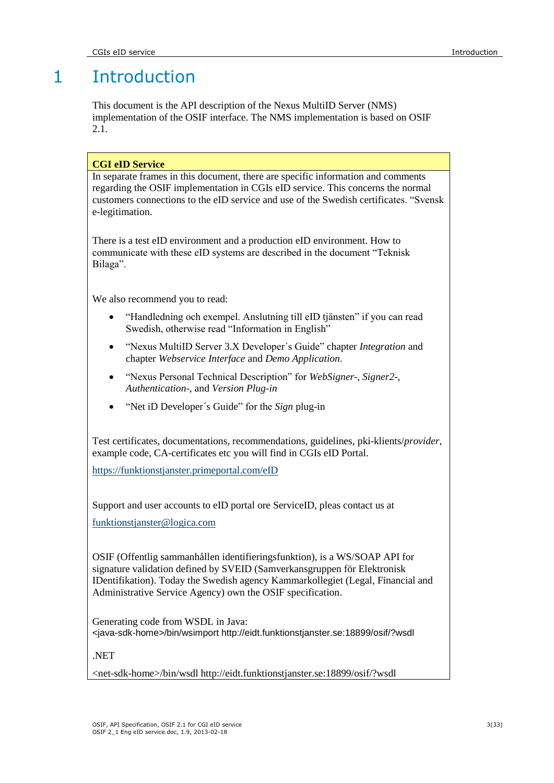# 1 Introduction

This document is the API description of the Nexus MultiID Server (NMS) implementation of the OSIF interface. The NMS implementation is based on OSIF 2.1.

# **CGI eID Service**

In separate frames in this document, there are specific information and comments regarding the OSIF implementation in CGIs eID service. This concerns the normal customers connections to the eID service and use of the Swedish certificates. "Svensk e-legitimation.

There is a test eID environment and a production eID environment. How to communicate with these eID systems are described in the document "Teknisk Bilaga".

We also recommend you to read:

- "Handledning och exempel. Anslutning till eID tjänsten" if you can read Swedish, otherwise read "Information in English"
- "Nexus MultiID Server 3.X Developer´s Guide" chapter *Integration* and chapter *Webservice Interface* and *Demo Application*.
- "Nexus Personal Technical Description" for *WebSigner*-, *Signer2*-, *Authentication*-, and *Version Plug-in*
- "Net iD Developer´s Guide" for the *Sign* plug-in

Test certificates, documentations, recommendations, guidelines, pki-klients/*provider*, example code, CA-certificates etc you will find in CGIs eID Portal.

<https://funktionstjanster.primeportal.com/eID>

Support and user accounts to eID portal ore ServiceID, pleas contact us at

[funktionstjanster@logica.com](mailto:funktionstjanster@logica.com)

OSIF (Offentlig sammanhållen identifieringsfunktion), is a WS/SOAP API for signature validation defined by SVEID (Samverkansgruppen för Elektronisk IDentifikation). Today the Swedish agency Kammarkollegiet (Legal, Financial and Administrative Service Agency) own the OSIF specification.

Generating code from WSDL in Java: <java-sdk-home>/bin/wsimport http://eidt.funktionstjanster.se:18899/osif/?wsdl

.NET

<net-sdk-home>/bin/wsdl http://eidt.funktionstjanster.se:18899/osif/?wsdl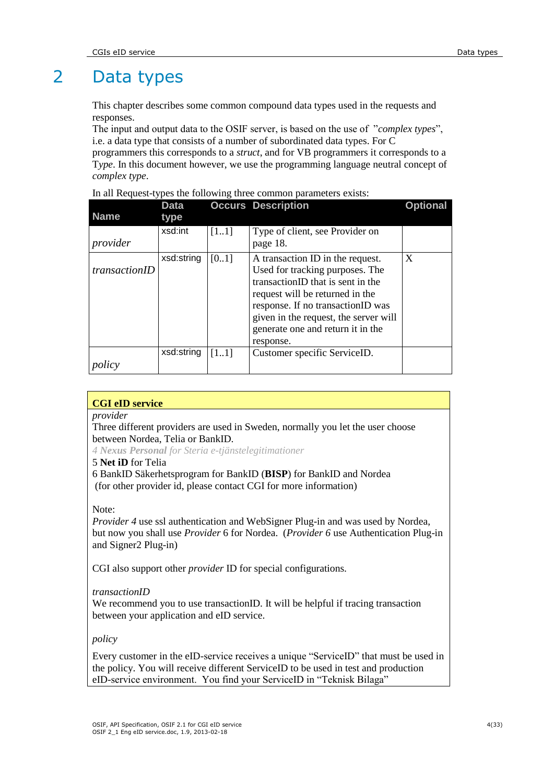# 2 Data types

This chapter describes some common compound data types used in the requests and responses.

The input and output data to the OSIF server, is based on the use of "*complex types*", i.e. a data type that consists of a number of subordinated data types. For C

programmers this corresponds to a *struct*, and for VB programmers it corresponds to a T*ype*. In this document however, we use the programming language neutral concept of *complex type*.

|  |  | In all Request-types the following three common parameters exists: |  |
|--|--|--------------------------------------------------------------------|--|
|  |  |                                                                    |  |

| <b>Name</b>   | <b>Data</b><br>type |      | <b>Occurs Description</b>                                                                                                                                                                                                                                                   | <b>Optional</b> |
|---------------|---------------------|------|-----------------------------------------------------------------------------------------------------------------------------------------------------------------------------------------------------------------------------------------------------------------------------|-----------------|
| provider      | xsd:int             | [11] | Type of client, see Provider on<br>page 18.                                                                                                                                                                                                                                 |                 |
| transactionID | xsd:string          | [01] | A transaction ID in the request.<br>Used for tracking purposes. The<br>transactionID that is sent in the<br>request will be returned in the<br>response. If no transactionID was<br>given in the request, the server will<br>generate one and return it in the<br>response. | X               |
| policy        | xsd:string          | [11] | Customer specific ServiceID.                                                                                                                                                                                                                                                |                 |

## **CGI eID service**

*provider*

## Three different providers are used in Sweden, normally you let the user choose between Nordea, Telia or BankID.

*4 Nexus Personal for Steria e-tjänstelegitimationer*

# 5 **Net iD** for Telia

6 BankID Säkerhetsprogram for BankID (**BISP**) for BankID and Nordea (for other provider id, please contact CGI for more information)

## Note:

*Provider 4* use ssl authentication and WebSigner Plug-in and was used by Nordea, but now you shall use *Provider* 6 for Nordea. (*Provider 6* use Authentication Plug-in and Signer2 Plug-in)

CGI also support other *provider* ID for special configurations.

## *transactionID*

We recommend you to use transactionID. It will be helpful if tracing transaction between your application and eID service.

*policy*

Every customer in the eID-service receives a unique "ServiceID" that must be used in the policy. You will receive different ServiceID to be used in test and production eID-service environment. You find your ServiceID in "Teknisk Bilaga"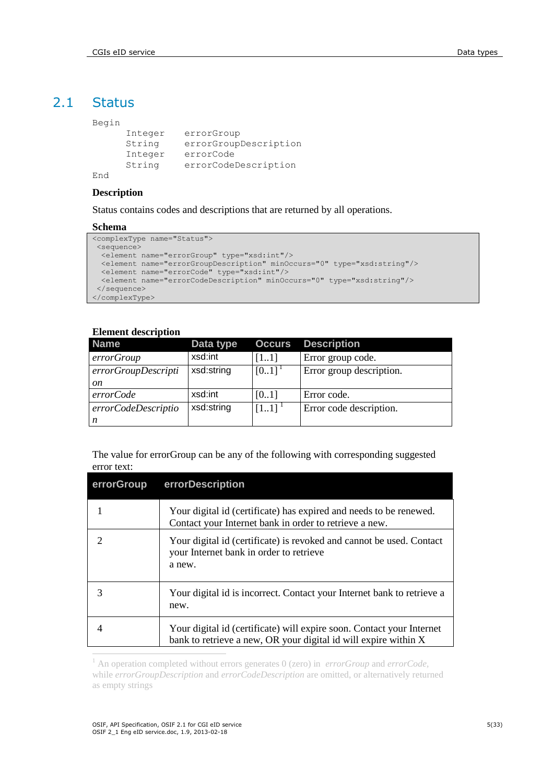# 2.1 Status

#### Begin

```
Integer errorGroup 
String errorGroupDescription
Integer errorCode 
String errorCodeDescription
```
End

### **Description**

Status contains codes and descriptions that are returned by all operations.

#### **Schema**

```
<complexType name="Status">
<sequence>
  <element name="errorGroup" type="xsd:int"/>
  <element name="errorGroupDescription" minOccurs="0" type="xsd:string"/>
  <element name="errorCode" type="xsd:int"/>
  <element name="errorCodeDescription" minOccurs="0" type="xsd:string"/>
</sequence>
</complexType>
```
### **Element description**

| <b>Name</b>         | Data type  | <b>Occurs</b>        | <b>Description</b>       |
|---------------------|------------|----------------------|--------------------------|
| errorGroup          | xsd:int    | [11]                 | Error group code.        |
| errorGroupDescripti | xsd:string | $[0.1]$ <sup>1</sup> | Error group description. |
| on                  |            |                      |                          |
| errorCode           | xsd:int    | [0.1]                | Error code.              |
| errorCodeDescriptio | xsd:string | $[11]$ <sup>1</sup>  | Error code description.  |
| n                   |            |                      |                          |

The value for errorGroup can be any of the following with corresponding suggested error text:

| errorGroup | errorDescription                                                                                                                         |
|------------|------------------------------------------------------------------------------------------------------------------------------------------|
|            | Your digital id (certificate) has expired and needs to be renewed.<br>Contact your Internet bank in order to retrieve a new.             |
|            | Your digital id (certificate) is revoked and cannot be used. Contact<br>your Internet bank in order to retrieve<br>a new.                |
| 3          | Your digital id is incorrect. Contact your Internet bank to retrieve a<br>new.                                                           |
|            | Your digital id (certificate) will expire soon. Contact your Internet<br>bank to retrieve a new, OR your digital id will expire within X |
|            |                                                                                                                                          |

<sup>1</sup> An operation completed without errors generates 0 (zero) in *errorGroup* and *errorCode,*  while *errorGroupDescription* and *errorCodeDescription* are omitted, or alternatively returned as empty strings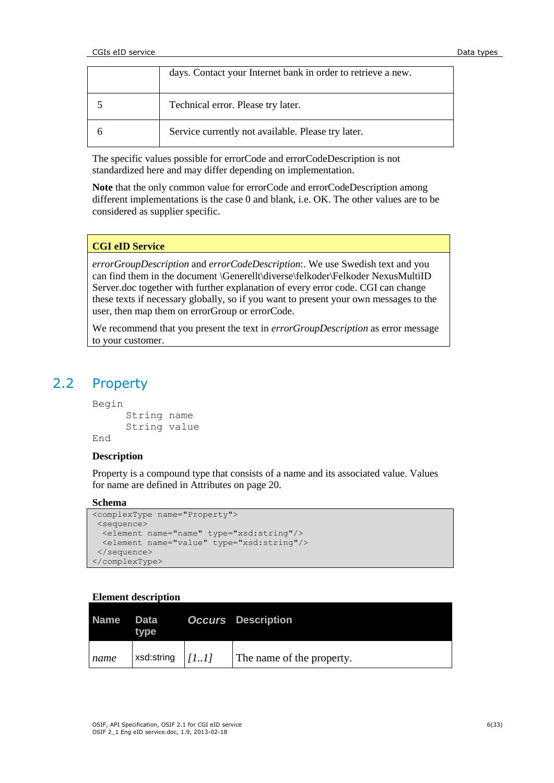| days. Contact your Internet bank in order to retrieve a new. |
|--------------------------------------------------------------|
| Technical error. Please try later.                           |
| Service currently not available. Please try later.           |

The specific values possible for errorCode and errorCodeDescription is not standardized here and may differ depending on implementation.

**Note** that the only common value for errorCode and errorCodeDescription among different implementations is the case 0 and blank, i.e. OK. The other values are to be considered as supplier specific.

### **CGI eID Service**

*errorGroupDescription* and *errorCodeDescription*:. We use Swedish text and you can find them in the document \Generellt\diverse\felkoder\Felkoder NexusMultiID Server.doc together with further explanation of every error code. CGI can change these texts if necessary globally, so if you want to present your own messages to the user, then map them on errorGroup or errorCode.

We recommend that you present the text in *errorGroupDescription* as error message to your customer.

# 2.2 Property

Begin

```
String name 
      String value 
End
```
# **Description**

Property is a compound type that consists of a name and its associated value. Values for name are defined in Attributes on page [20.](#page-19-0)

#### **Schema**

```
<complexType name="Property">
 <sequence>
  <element name="name" type="xsd:string"/>
   <element name="value" type="xsd:string"/>
 </sequence>
</complexType>
```

| Name | Data<br>type       | <b>Occurs</b> Description |
|------|--------------------|---------------------------|
| name | xsd:string $ 111 $ | The name of the property. |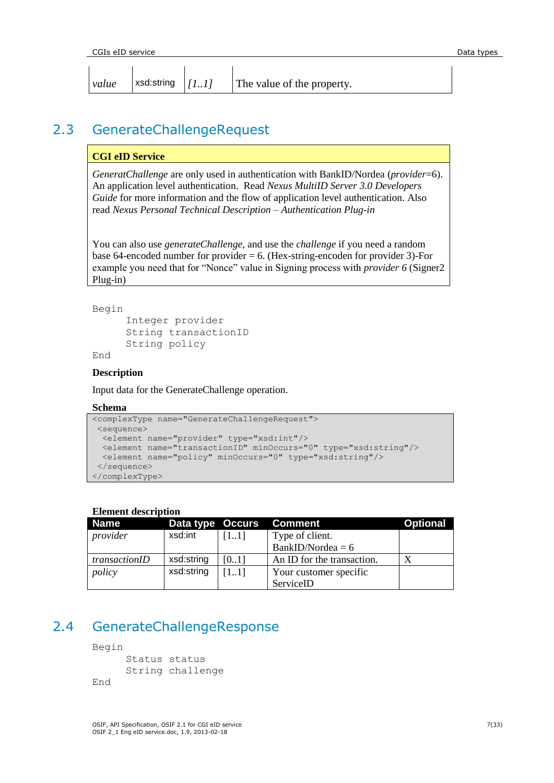| CGIs eID service |       |                     |  |                            | Data types |
|------------------|-------|---------------------|--|----------------------------|------------|
|                  |       |                     |  |                            |            |
|                  | value | ∣xsd:string $ /II $ |  | The value of the property. |            |

# 2.3 GenerateChallengeRequest

## **CGI eID Service**

*GeneratChallenge* are only used in authentication with BankID/Nordea (*provider*=6). An application level authentication. Read *Nexus MultiID Server 3.0 Developers Guide* for more information and the flow of application level authentication. Also read *Nexus Personal Technical Description – Authentication Plug-in*

You can also use *generateChallenge*, and use the *challenge* if you need a random base 64-encoded number for provider  $= 6$ . (Hex-string-encoden for provider 3)-For example you need that for "Nonce" value in Signing process with *provider 6* (Signer2 Plug-in)

```
Begin
```

```
Integer provider 
String transactionID
String policy
```
End

# **Description**

Input data for the GenerateChallenge operation.

## **Schema**

```
<complexType name="GenerateChallengeRequest">
<sequence>
  <element name="provider" type="xsd:int"/>
  <element name="transactionID" minOccurs="0" type="xsd:string"/>
  <element name="policy" minOccurs="0" type="xsd:string"/>
 </sequence>
</complexType>
```
## **Element description**

| Name          | Data type Occurs |      | <b>Comment</b>             | <b>Optional</b> |
|---------------|------------------|------|----------------------------|-----------------|
| provider      | xsd:int          | [11] | Type of client.            |                 |
|               |                  |      | BankID/Nordea = $6$        |                 |
| transactionID | xsd:string       | [01] | An ID for the transaction. |                 |
| policy        | xsd:string       | [11] | Your customer specific     |                 |
|               |                  |      | ServiceID                  |                 |

# 2.4 GenerateChallengeResponse

Begin

```
Status status
     String challenge 
End
```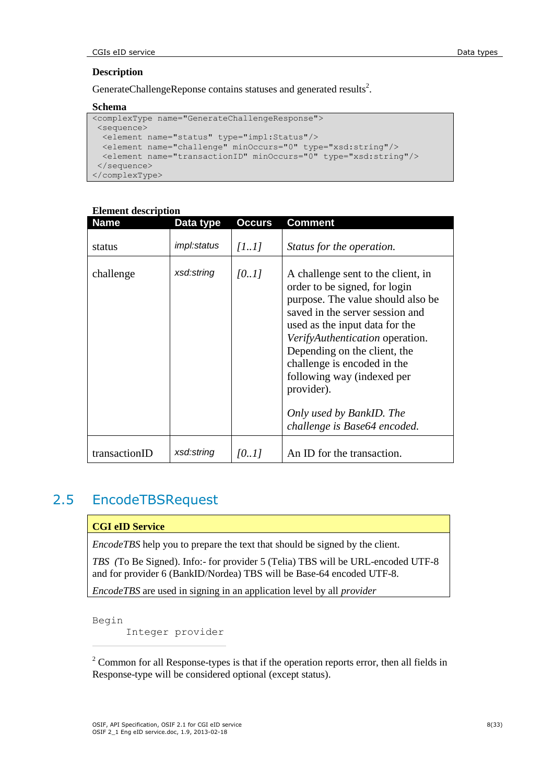# **Description**

GenerateChallengeReponse contains statuses and generated results<sup>2</sup>.

### **Schema**

```
<complexType name="GenerateChallengeResponse">
<sequence>
  <element name="status" type="impl:Status"/>
  <element name="challenge" minOccurs="0" type="xsd:string"/>
  <element name="transactionID" minOccurs="0" type="xsd:string"/>
 </sequence>
</complexType>
```

| <b>Name</b>   | Data type          | Occurs | Comment                                                                                                                                                                                                                                                                                                                                                                                 |
|---------------|--------------------|--------|-----------------------------------------------------------------------------------------------------------------------------------------------------------------------------------------------------------------------------------------------------------------------------------------------------------------------------------------------------------------------------------------|
| status        | <i>impl:status</i> | [11]   | Status for the operation.                                                                                                                                                                                                                                                                                                                                                               |
| challenge     | xsd:string         | [0.1]  | A challenge sent to the client, in<br>order to be signed, for login<br>purpose. The value should also be<br>saved in the server session and<br>used as the input data for the<br>VerifyAuthentication operation.<br>Depending on the client, the<br>challenge is encoded in the<br>following way (indexed per<br>provider).<br>Only used by BankID. The<br>challenge is Base64 encoded. |
| transactionID | xsd:string         | [01]   | An ID for the transaction.                                                                                                                                                                                                                                                                                                                                                              |

# **Element description**

# 2.5 EncodeTBSRequest

## **CGI eID Service**

 $\overline{a}$ 

*EncodeTBS* help you to prepare the text that should be signed by the client.

*TBS (*To Be Signed). Info:- for provider 5 (Telia) TBS will be URL-encoded UTF-8 and for provider 6 (BankID/Nordea) TBS will be Base-64 encoded UTF-8.

*EncodeTBS* are used in signing in an application level by all *provider* 

Begin Integer provider

<sup>2</sup> Common for all Response-types is that if the operation reports error, then all fields in Response-type will be considered optional (except status).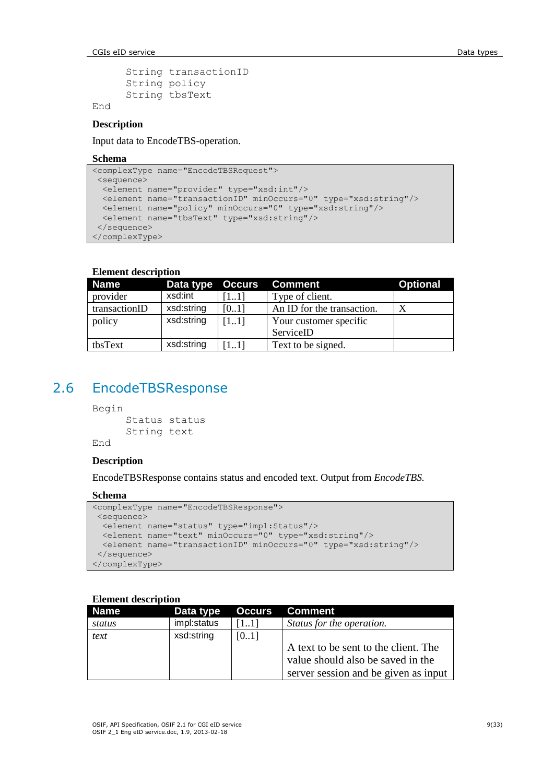**CGIs eID service Data types Data types Data types Data types** 

```
String transactionID
String policy 
String tbsText
```
End

#### **Description**

Input data to EncodeTBS-operation.

#### **Schema**

```
<complexType name="EncodeTBSRequest">
<sequence>
  <element name="provider" type="xsd:int"/>
  <element name="transactionID" minOccurs="0" type="xsd:string"/>
 <element name="policy" minOccurs="0" type="xsd:string"/>
 <element name="tbsText" type="xsd:string"/>
</sequence>
</complexType>
```
### **Element description**

| <b>Name</b>   | Data type Occurs |      | <b>Comment</b>             | <b>Optional</b> |
|---------------|------------------|------|----------------------------|-----------------|
| provider      | xsd:int          | 11   | Type of client.            |                 |
| transactionID | xsd:string       | [01] | An ID for the transaction. |                 |
| policy        | xsd:string       | [11] | Your customer specific     |                 |
|               |                  |      | ServiceID                  |                 |
| tbsText       | xsd:string       | 111  | Text to be signed.         |                 |

# 2.6 EncodeTBSResponse

Begin

```
Status status
String text
```
End

# **Description**

EncodeTBSResponse contains status and encoded text. Output from *EncodeTBS.*

#### **Schema**

```
<complexType name="EncodeTBSResponse">
<sequence>
  <element name="status" type="impl:Status"/>
  <element name="text" minOccurs="0" type="xsd:string"/>
  <element name="transactionID" minOccurs="0" type="xsd:string"/>
</sequence>
</complexType>
```

| <b>Name</b> | Data type   | <b>Occurs</b> | Comment                                                                   |
|-------------|-------------|---------------|---------------------------------------------------------------------------|
| status      | impl:status | [11]          | Status for the operation.                                                 |
| text        | xsd:string  | [0.1]         |                                                                           |
|             |             |               | A text to be sent to the client. The<br>value should also be saved in the |
|             |             |               | server session and be given as input                                      |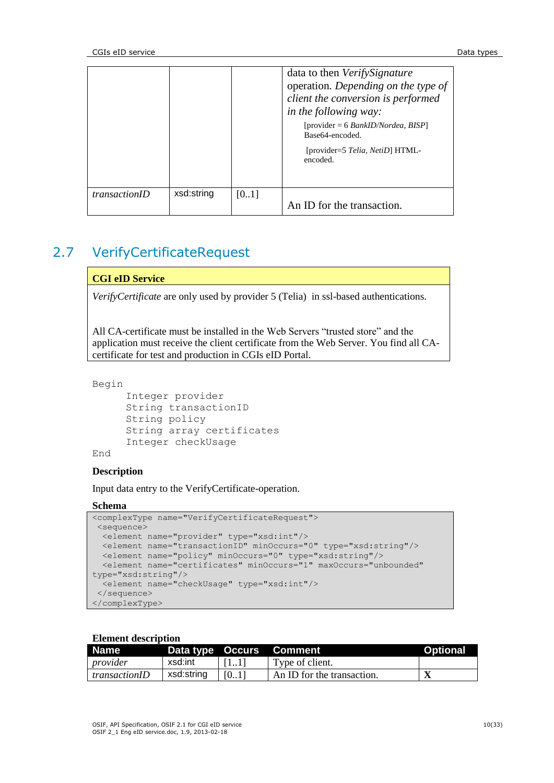|                      |            |      | data to then <i>VerifySignature</i><br>operation. Depending on the type of<br>client the conversion is performed<br>in the following way:<br>$[provider = 6 BankID/Nordea, BISP]$<br>Base64-encoded.<br>[provider=5 Telia, NetiD] HTML-<br>encoded. |
|----------------------|------------|------|-----------------------------------------------------------------------------------------------------------------------------------------------------------------------------------------------------------------------------------------------------|
| <i>transactionID</i> | xsd:string | [01] | An ID for the transaction.                                                                                                                                                                                                                          |

# 2.7 VerifyCertificateRequest

# **CGI eID Service**

*VerifyCertificate* are only used by provider 5 (Telia) in ssl-based authentications.

All CA-certificate must be installed in the Web Servers "trusted store" and the application must receive the client certificate from the Web Server. You find all CAcertificate for test and production in CGIs eID Portal.

```
Begin
```

```
Integer provider 
String transactionID
String policy 
String array certificates 
Integer checkUsage
```
End

## **Description**

Input data entry to the VerifyCertificate-operation.

### **Schema**

```
<complexType name="VerifyCertificateRequest">
<sequence>
  <element name="provider" type="xsd:int"/>
  <element name="transactionID" minOccurs="0" type="xsd:string"/>
  <element name="policy" minOccurs="0" type="xsd:string"/>
  <element name="certificates" minOccurs="1" maxOccurs="unbounded" 
type="xsd:string"/>
 <element name="checkUsage" type="xsd:int"/>
</sequence>
</complexType>
```

| <b>Name</b>          |            |      | Data type Occurs Comment   | <b>Optional</b> |
|----------------------|------------|------|----------------------------|-----------------|
| provider             | xsd:int    | 11IT | Type of client.            |                 |
| <i>transactionID</i> | xsd:string | [01] | An ID for the transaction. |                 |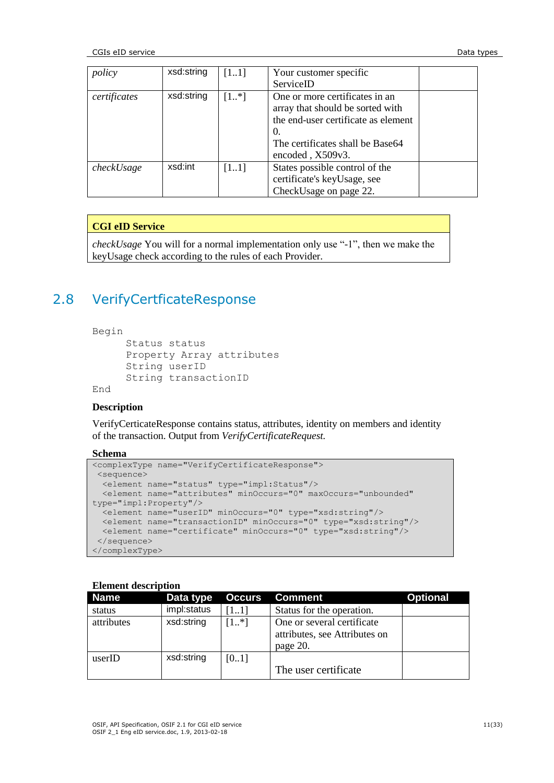CGIs eID service **Data types** and the control of the control of the control of the control of the control of the control of the control of the control of the control of the control of the control of the control of the cont

| policy       | xsd:string | [11]     | Your customer specific              |  |
|--------------|------------|----------|-------------------------------------|--|
|              |            |          | ServiceID                           |  |
| certificates | xsd:string | $[1, *]$ | One or more certificates in an      |  |
|              |            |          | array that should be sorted with    |  |
|              |            |          | the end-user certificate as element |  |
|              |            |          | $\Omega$ .                          |  |
|              |            |          | The certificates shall be Base64    |  |
|              |            |          | encoded, X509v3.                    |  |
| checkUsage   | xsd:int    | [11]     | States possible control of the      |  |
|              |            |          | certificate's keyUsage, see         |  |
|              |            |          | CheckUsage on page 22.              |  |

# **CGI eID Service**

*checkUsage* You will for a normal implementation only use "-1", then we make the keyUsage check according to the rules of each Provider.

# 2.8 VerifyCertficateResponse

Begin

```
Status status
Property Array attributes 
String userID 
String transactionID
```
End

## **Description**

VerifyCerticateResponse contains status, attributes, identity on members and identity of the transaction. Output from *VerifyCertificateRequest.*

### **Schema**

```
<complexType name="VerifyCertificateResponse">
<sequence>
  <element name="status" type="impl:Status"/>
  <element name="attributes" minOccurs="0" maxOccurs="unbounded" 
type="impl:Property"/>
  <element name="userID" minOccurs="0" type="xsd:string"/>
 <element name="transactionID" minOccurs="0" type="xsd:string"/>
 <element name="certificate" minOccurs="0" type="xsd:string"/>
</sequence>
</complexType>
```

| <b>Name</b> | Data type   | <b>Occurs</b> | <b>Comment</b>                                                          | <b>Optional</b> |
|-------------|-------------|---------------|-------------------------------------------------------------------------|-----------------|
| status      | impl:status | 11            | Status for the operation.                                               |                 |
| attributes  | xsd:string  | $[1, *]$      | One or several certificate<br>attributes, see Attributes on<br>page 20. |                 |
| userID      | xsd:string  | [01]          |                                                                         |                 |
|             |             |               | The user certificate                                                    |                 |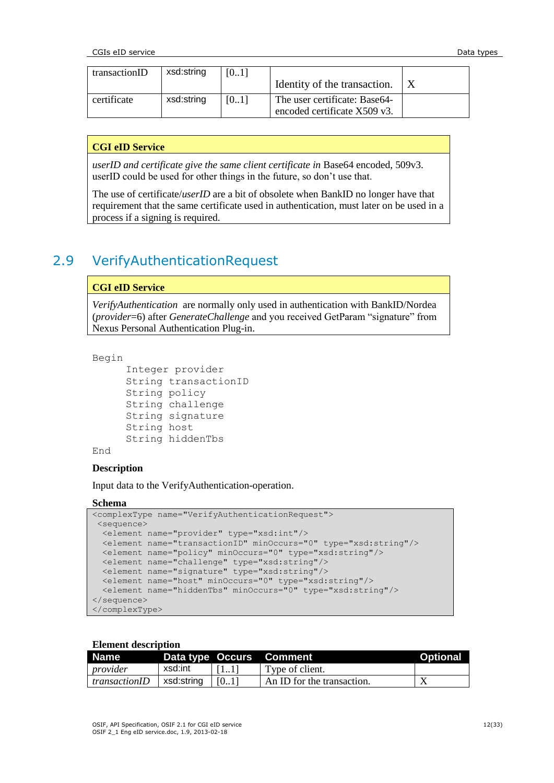| transactionID | xsd:string | [01] |                               |  |
|---------------|------------|------|-------------------------------|--|
|               |            |      | Identity of the transaction.  |  |
| certificate   | xsd:string | [01] | The user certificate: Base64- |  |
|               |            |      | encoded certificate X509 v3.  |  |

### **CGI eID Service**

*userID and certificate give the same client certificate in* Base64 encoded, 509v3. userID could be used for other things in the future, so don"t use that.

The use of certificate/*userID* are a bit of obsolete when BankID no longer have that requirement that the same certificate used in authentication, must later on be used in a process if a signing is required.

# 2.9 VerifyAuthenticationRequest

### **CGI eID Service**

*VerifyAuthentication* are normally only used in authentication with BankID/Nordea (*provider*=6) after *GenerateChallenge* and you received GetParam "signature" from Nexus Personal Authentication Plug-in.

#### Begin

```
Integer provider 
String transactionID
String policy 
String challenge 
String signature 
String host
String hiddenTbs
```
#### End

### **Description**

Input data to the VerifyAuthentication-operation.

#### **Schema**

```
<complexType name="VerifyAuthenticationRequest">
 <sequence>
  <element name="provider" type="xsd:int"/>
  <element name="transactionID" minOccurs="0" type="xsd:string"/>
  <element name="policy" minOccurs="0" type="xsd:string"/>
  <element name="challenge" type="xsd:string"/>
  <element name="signature" type="xsd:string"/>
  <element name="host" minOccurs="0" type="xsd:string"/>
   <element name="hiddenTbs" minOccurs="0" type="xsd:string"/>
</sequence>
</complexType>
```

| <b>Name</b>          |            |       | Data type Occurs Comment   | <b>Optional</b> |
|----------------------|------------|-------|----------------------------|-----------------|
| provider             | xsd:int    | 1111  | Type of client.            |                 |
| <i>transactionID</i> | xsd:string | [[01] | An ID for the transaction. |                 |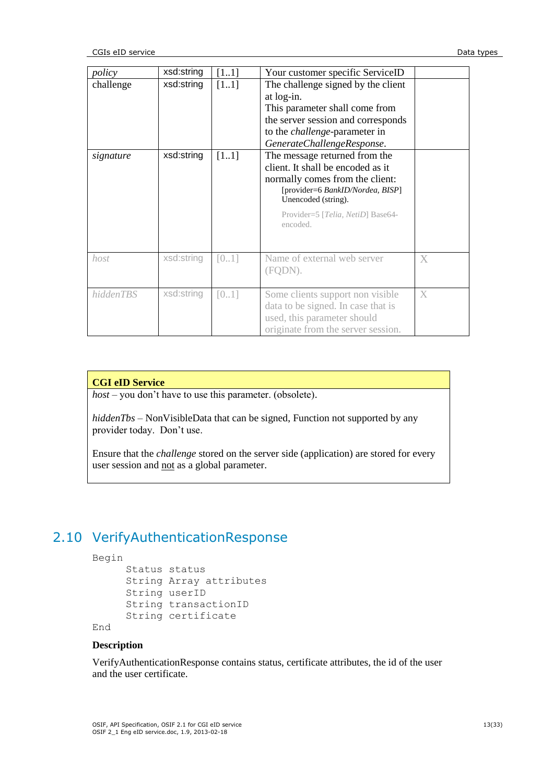| policy    | xsd:string | [11]   | Your customer specific ServiceID                                                                                                                                                                                  |   |
|-----------|------------|--------|-------------------------------------------------------------------------------------------------------------------------------------------------------------------------------------------------------------------|---|
| challenge | xsd:string | [11]   | The challenge signed by the client<br>at log-in.<br>This parameter shall come from<br>the server session and corresponds<br>to the <i>challenge</i> -parameter in<br>GenerateChallengeResponse.                   |   |
| signature | xsd:string | $[11]$ | The message returned from the<br>client. It shall be encoded as it<br>normally comes from the client:<br>[provider=6 BankID/Nordea, BISP]<br>Unencoded (string).<br>Provider=5 [Telia, NetiD] Base64-<br>encoded. |   |
| host      | xsd:string | [01]   | Name of external web server<br>(FQDN).                                                                                                                                                                            | X |
| hiddenTBS | xsd:string | [01]   | Some clients support non visible<br>data to be signed. In case that is<br>used, this parameter should<br>originate from the server session.                                                                       | X |

### **CGI eID Service**

*host* – you don't have to use this parameter. (obsolete).

*hiddenTbs* – NonVisibleData that can be signed, Function not supported by any provider today. Don"t use.

Ensure that the *challenge* stored on the server side (application) are stored for every user session and not as a global parameter.

# 2.10 VerifyAuthenticationResponse

```
Begin
```

```
Status status
String Array attributes
String userID
String transactionID
String certificate
```
End

# **Description**

VerifyAuthenticationResponse contains status, certificate attributes, the id of the user and the user certificate.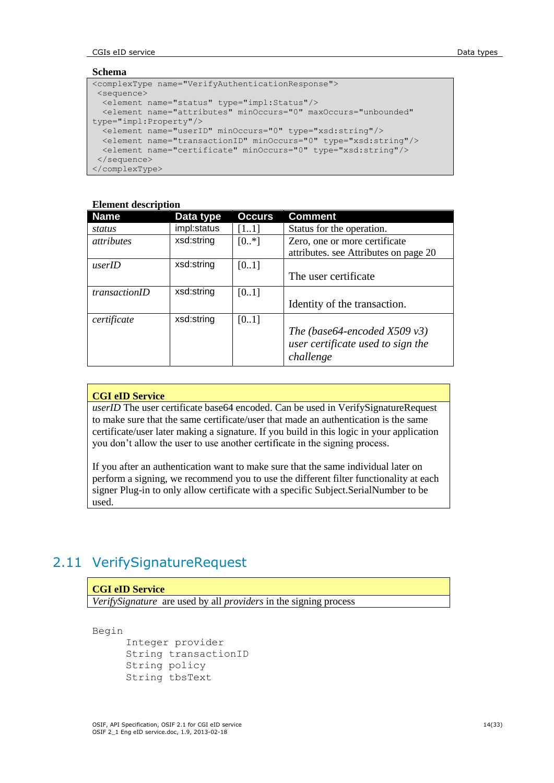**CGIs eID service Data types Data types Data types Data types** 

### **Schema**

```
<complexType name="VerifyAuthenticationResponse">
 <sequence>
  <element name="status" type="impl:Status"/>
  <element name="attributes" minOccurs="0" maxOccurs="unbounded" 
type="impl:Property"/>
  <element name="userID" minOccurs="0" type="xsd:string"/>
  <element name="transactionID" minOccurs="0" type="xsd:string"/>
  <element name="certificate" minOccurs="0" type="xsd:string"/>
</sequence>
</complexType>
```
# **Element description**

| <b>Name</b>          | Data type   | <b>Occurs</b> | <b>Comment</b>                        |
|----------------------|-------------|---------------|---------------------------------------|
| status               | impl:status | [11]          | Status for the operation.             |
| <i>attributes</i>    | xsd:string  | $[0.+]$       | Zero, one or more certificate         |
|                      |             |               | attributes. see Attributes on page 20 |
| userID               | xsd:string  | [0.1]         |                                       |
|                      |             |               | The user certificate                  |
| <i>transactionID</i> | xsd:string  | [01]          |                                       |
|                      |             |               | Identity of the transaction.          |
| certificate          | xsd:string  | [0.1]         |                                       |
|                      |             |               | The (base64-encoded $X509 \nu 3$ )    |
|                      |             |               | user certificate used to sign the     |
|                      |             |               | challenge                             |

# **CGI eID Service**

*userID* The user certificate base64 encoded. Can be used in VerifySignatureRequest to make sure that the same certificate/user that made an authentication is the same certificate/user later making a signature. If you build in this logic in your application you don"t allow the user to use another certificate in the signing process.

If you after an authentication want to make sure that the same individual later on perform a signing, we recommend you to use the different filter functionality at each signer Plug-in to only allow certificate with a specific Subject.SerialNumber to be used.

# 2.11 VerifySignatureRequest

# **CGI eID Service**

*VerifySignature* are used by all *providers* in the signing process

Begin

```
Integer provider 
String transactionID
String policy
String tbsText
```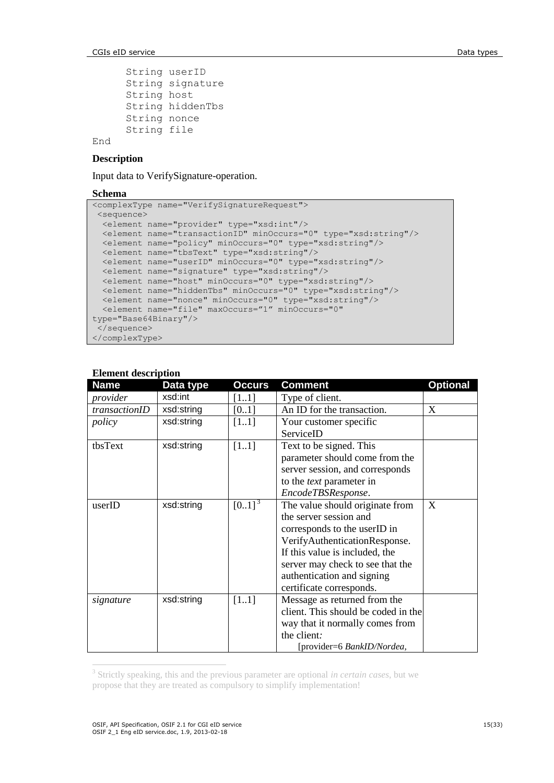```
String userID
String signature
String host
String hiddenTbs
String nonce
String file
```
# End

# **Description**

Input data to VerifySignature-operation.

#### **Schema**

```
<complexType name="VerifySignatureRequest">
 <sequence>
   <element name="provider" type="xsd:int"/>
   <element name="transactionID" minOccurs="0" type="xsd:string"/>
   <element name="policy" minOccurs="0" type="xsd:string"/>
   <element name="tbsText" type="xsd:string"/>
   <element name="userID" minOccurs="0" type="xsd:string"/>
   <element name="signature" type="xsd:string"/>
   <element name="host" minOccurs="0" type="xsd:string"/>
   <element name="hiddenTbs" minOccurs="0" type="xsd:string"/>
   <element name="nonce" minOccurs="0" type="xsd:string"/>
  <element name="file" maxOccurs="1" minOccurs="0" 
type="Base64Binary"/>
 </sequence>
</complexType>
```

| еление исметрион<br><b>Name</b> | Data type  | Occurs      | <b>Comment</b>                      | <b>Optional</b> |
|---------------------------------|------------|-------------|-------------------------------------|-----------------|
| provider                        | xsd:int    | [11]        | Type of client.                     |                 |
| transactionID                   | xsd:string | [0.1]       | An ID for the transaction.          | X               |
| policy                          | xsd:string | $[11]$      | Your customer specific              |                 |
|                                 |            |             | ServiceID                           |                 |
| tbsText                         | xsd:string | $[11]$      | Text to be signed. This             |                 |
|                                 |            |             | parameter should come from the      |                 |
|                                 |            |             | server session, and corresponds     |                 |
|                                 |            |             | to the <i>text</i> parameter in     |                 |
|                                 |            |             | EncodeTBSResponse.                  |                 |
| userID                          | xsd:string | $[0.1]^{3}$ | The value should originate from     | X               |
|                                 |            |             | the server session and              |                 |
|                                 |            |             | corresponds to the userID in        |                 |
|                                 |            |             | VerifyAuthenticationResponse.       |                 |
|                                 |            |             | If this value is included, the      |                 |
|                                 |            |             | server may check to see that the    |                 |
|                                 |            |             | authentication and signing          |                 |
|                                 |            |             | certificate corresponds.            |                 |
| signature                       | xsd:string | [11]        | Message as returned from the        |                 |
|                                 |            |             | client. This should be coded in the |                 |
|                                 |            |             | way that it normally comes from     |                 |
|                                 |            |             | the client:                         |                 |
|                                 |            |             | [provider=6 BankID/Nordea,          |                 |

### **Element description**

3 Strictly speaking, this and the previous parameter are optional *in certain cases*, but we propose that they are treated as compulsory to simplify implementation!

 $\overline{a}$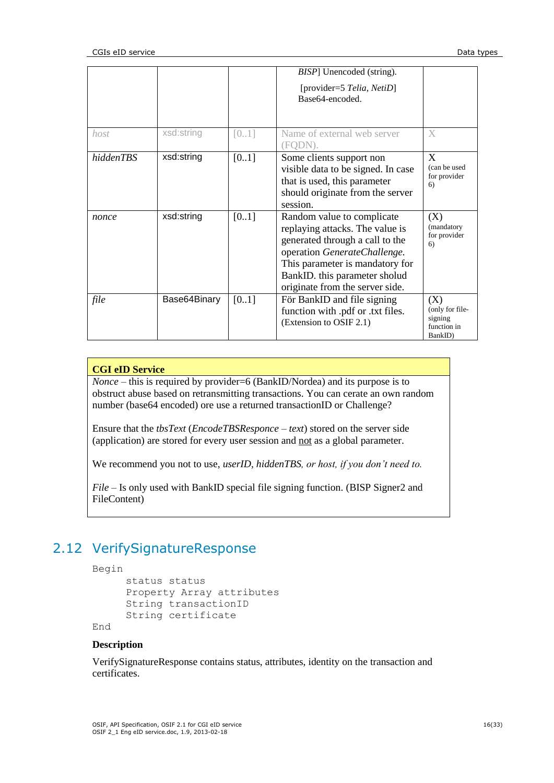|           |              |        | <i>BISP</i> ] Unencoded (string).<br>[provider=5 Telia, NetiD]<br>Base64-encoded.                                                                                                                                                       |                                                             |
|-----------|--------------|--------|-----------------------------------------------------------------------------------------------------------------------------------------------------------------------------------------------------------------------------------------|-------------------------------------------------------------|
| host      | xsd:string   | [01]   | Name of external web server<br>FODN                                                                                                                                                                                                     | X                                                           |
| hiddenTBS | xsd:string   | $[01]$ | Some clients support non<br>visible data to be signed. In case<br>that is used, this parameter<br>should originate from the server<br>session.                                                                                          | X<br>(can be used<br>for provider<br>6)                     |
| nonce     | xsd:string   | [0.1]  | Random value to complicate<br>replaying attacks. The value is<br>generated through a call to the<br>operation GenerateChallenge.<br>This parameter is mandatory for<br>BankID. this parameter sholud<br>originate from the server side. | (X)<br>(mandatory<br>for provider<br>6)                     |
| file      | Base64Binary | [0.1]  | För BankID and file signing<br>function with .pdf or .txt files.<br>(Extension to OSIF 2.1)                                                                                                                                             | (X)<br>(only for file-<br>signing<br>function in<br>BankID) |

# **CGI eID Service**

*Nonce* – this is required by provider=6 (BankID/Nordea) and its purpose is to obstruct abuse based on retransmitting transactions. You can cerate an own random number (base64 encoded) ore use a returned transactionID or Challenge?

Ensure that the *tbsText* (*EncodeTBSResponce* – *text*) stored on the server side (application) are stored for every user session and not as a global parameter.

We recommend you not to use, *userID, hiddenTBS, or host, if you don't need to.*

*File –* Is only used with BankID special file signing function. (BISP Signer2 and FileContent)

# 2.12 VerifySignatureResponse

```
Begin
```

```
status status 
Property Array attributes 
String transactionID
String certificate
```
End

## **Description**

VerifySignatureResponse contains status, attributes, identity on the transaction and certificates.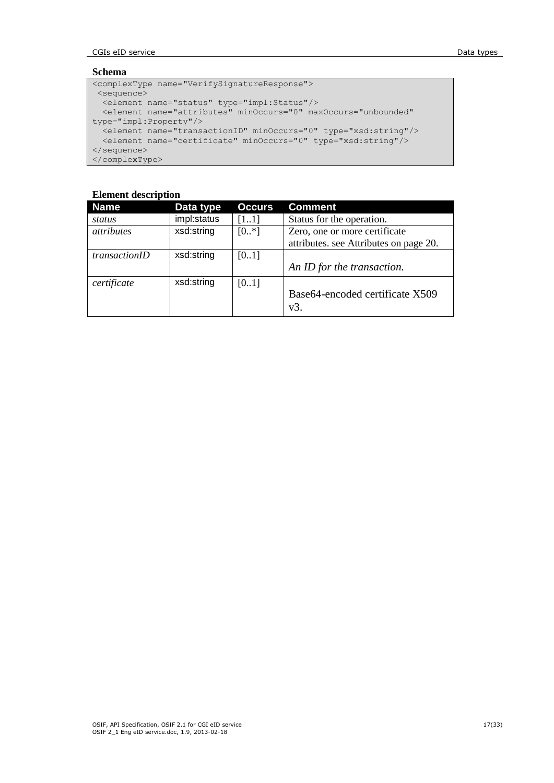**CGIs eID service Data types Data types Data types Data types Data types** 

### **Schema**

```
<complexType name="VerifySignatureResponse">
<sequence>
 <element name="status" type="impl:Status"/>
 <element name="attributes" minOccurs="0" maxOccurs="unbounded" 
type="impl:Property"/>
 <element name="transactionID" minOccurs="0" type="xsd:string"/>
 <element name="certificate" minOccurs="0" type="xsd:string"/>
</sequence>
</complexType>
```

| <b>Name</b>       | Data type   | <b>Occurs</b> | <b>Comment</b>                         |
|-------------------|-------------|---------------|----------------------------------------|
| status            | impl:status | [11]          | Status for the operation.              |
| <i>attributes</i> | xsd:string  | $[0.$ *]      | Zero, one or more certificate          |
|                   |             |               | attributes. see Attributes on page 20. |
| transactionID     | xsd:string  | [01]          |                                        |
|                   |             |               | An ID for the transaction.             |
| certificate       | xsd:string  | [01]          |                                        |
|                   |             |               | Base64-encoded certificate X509<br>v3. |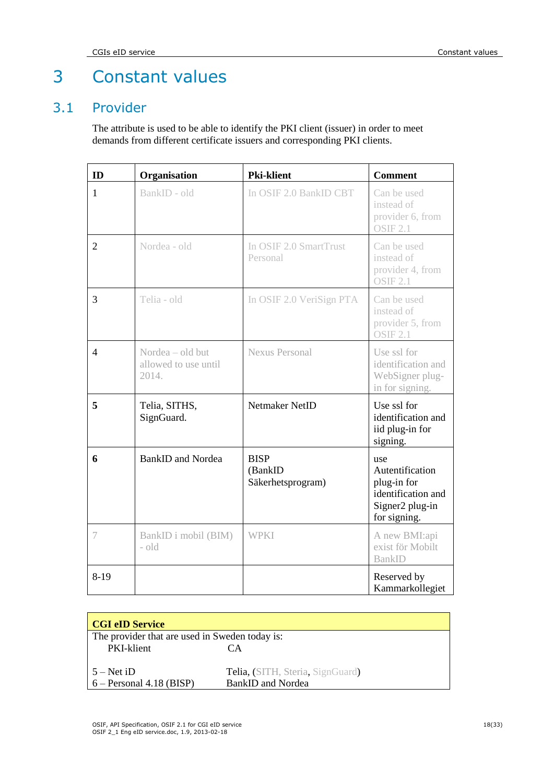# 3 Constant values

# 3.1 Provider

<span id="page-17-0"></span>The attribute is used to be able to identify the PKI client (issuer) in order to meet demands from different certificate issuers and corresponding PKI clients.

| ID             | Organisation                                      | <b>Pki-klient</b>                           | <b>Comment</b>                                                                                 |
|----------------|---------------------------------------------------|---------------------------------------------|------------------------------------------------------------------------------------------------|
| $\mathbf{1}$   | BankID - old                                      | In OSIF 2.0 BankID CBT                      | Can be used<br>instead of<br>provider 6, from<br><b>OSIF 2.1</b>                               |
| $\overline{2}$ | Nordea - old                                      | In OSIF 2.0 SmartTrust<br>Personal          | Can be used<br>instead of<br>provider 4, from<br><b>OSIF 2.1</b>                               |
| 3              | Telia - old                                       | In OSIF 2.0 VeriSign PTA                    | Can be used<br>instead of<br>provider 5, from<br>OSIF 2.1                                      |
| $\overline{4}$ | Nordea - old but<br>allowed to use until<br>2014. | <b>Nexus Personal</b>                       | Use ssl for<br>identification and<br>WebSigner plug-<br>in for signing.                        |
| 5              | Telia, SITHS,<br>SignGuard.                       | Netmaker NetID                              | Use ssl for<br>identification and<br>iid plug-in for<br>signing.                               |
| 6              | <b>BankID</b> and Nordea                          | <b>BISP</b><br>(BankID<br>Säkerhetsprogram) | use<br>Autentification<br>plug-in for<br>identification and<br>Signer2 plug-in<br>for signing. |
| 7              | BankID i mobil (BIM)<br>- old                     | <b>WPKI</b>                                 | A new BMI:api<br>exist för Mobilt<br><b>BankID</b>                                             |
| $8-19$         |                                                   |                                             | Reserved by<br>Kammarkollegiet                                                                 |

| <b>CGI eID Service</b>                         |                                  |
|------------------------------------------------|----------------------------------|
| The provider that are used in Sweden today is: |                                  |
| PKI-klient                                     | CА                               |
|                                                |                                  |
| $5 - Net$ iD                                   | Telia, (SITH, Steria, SignGuard) |
| $6 -$ Personal 4.18 (BISP)                     | <b>BankID and Nordea</b>         |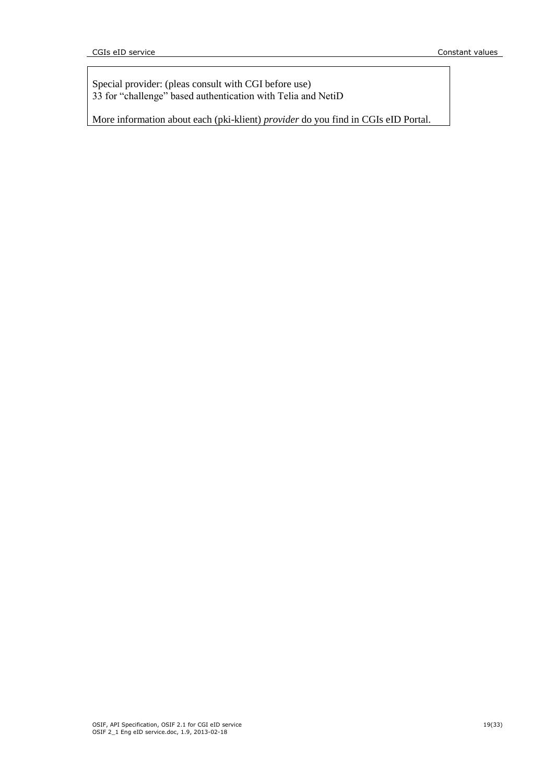Special provider: (pleas consult with CGI before use) 33 for "challenge" based authentication with Telia and NetiD

More information about each (pki-klient) *provider* do you find in CGIs eID Portal.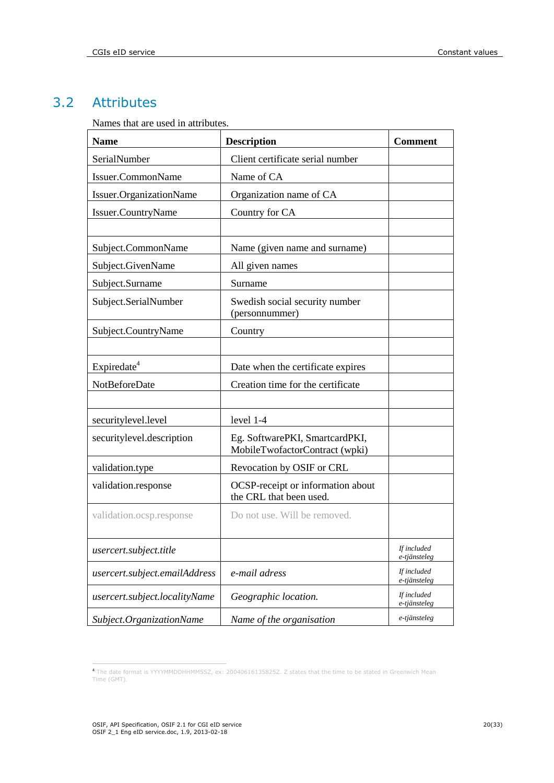# 3.2 Attributes

<span id="page-19-0"></span>Names that are used in attributes.

| <b>Name</b>                    | <b>Description</b>                                               | <b>Comment</b>              |
|--------------------------------|------------------------------------------------------------------|-----------------------------|
| SerialNumber                   | Client certificate serial number                                 |                             |
| Issuer.CommonName              | Name of CA                                                       |                             |
| <b>Issuer.OrganizationName</b> | Organization name of CA                                          |                             |
| Issuer.CountryName             | Country for CA                                                   |                             |
|                                |                                                                  |                             |
| Subject.CommonName             | Name (given name and surname)                                    |                             |
| Subject.GivenName              | All given names                                                  |                             |
| Subject.Surname                | Surname                                                          |                             |
| Subject.SerialNumber           | Swedish social security number<br>(personnummer)                 |                             |
| Subject.CountryName            | Country                                                          |                             |
|                                |                                                                  |                             |
| Expiredate <sup>4</sup>        | Date when the certificate expires                                |                             |
| <b>NotBeforeDate</b>           | Creation time for the certificate                                |                             |
|                                |                                                                  |                             |
| securitylevel.level            | level 1-4                                                        |                             |
| securitylevel.description      | Eg. SoftwarePKI, SmartcardPKI,<br>MobileTwofactorContract (wpki) |                             |
| validation.type                | Revocation by OSIF or CRL                                        |                             |
| validation.response            | OCSP-receipt or information about<br>the CRL that been used.     |                             |
| validation.ocsp.response       | Do not use. Will be removed.                                     |                             |
| usercert.subject.title         |                                                                  | If included<br>e-tjänsteleg |
| usercert.subject.emailAddress  | e-mail adress                                                    | If included<br>e-tjänsteleg |
| usercert.subject.localityName  | Geographic location.                                             | If included<br>e-tjänsteleg |
| Subject.OrganizationName       | Name of the organisation                                         | e-tjänsteleg                |

 <sup>4</sup> The date format is YYYYMMDDHHMMSSZ, ex: 20040616135825Z. Z states that the time to be stated in Greenwich Mean Time (GMT).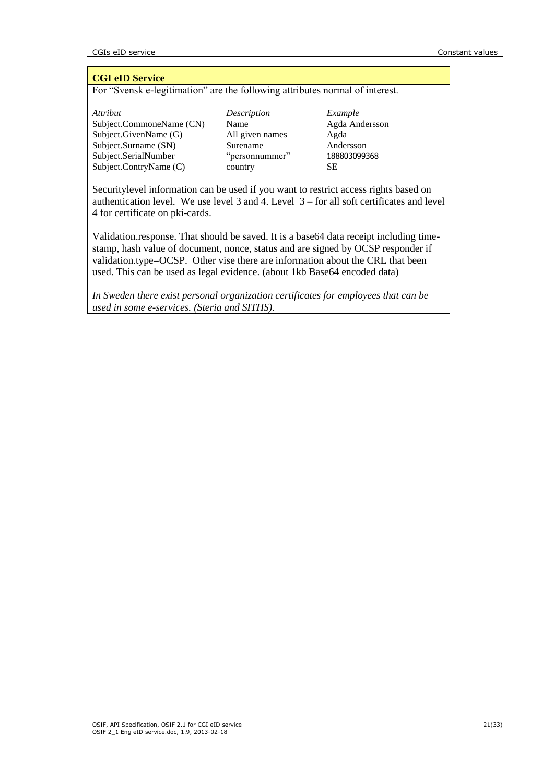### **CGI eID Service**

For "Svensk e-legitimation" are the following attributes normal of interest.

*Attribut Description Example*<br>Subject.CommoneName (CN) Name *Agda An* Subject.CommoneName (CN) Name Agda Andersson Subject.GivenName (G) All given names Agda Subject.Surname (SN) Surename Andersson Subject.SerialNumber "personnummer" 188803099368 Subject.ContryName (C) country SE

Securitylevel information can be used if you want to restrict access rights based on authentication level. We use level 3 and 4. Level 3 – for all soft certificates and level 4 for certificate on pki-cards.

Validation.response. That should be saved. It is a base64 data receipt including timestamp, hash value of document, nonce, status and are signed by OCSP responder if validation.type=OCSP. Other vise there are information about the CRL that been used. This can be used as legal evidence. (about 1kb Base64 encoded data)

*In Sweden there exist personal organization certificates for employees that can be used in some e-services. (Steria and SITHS).*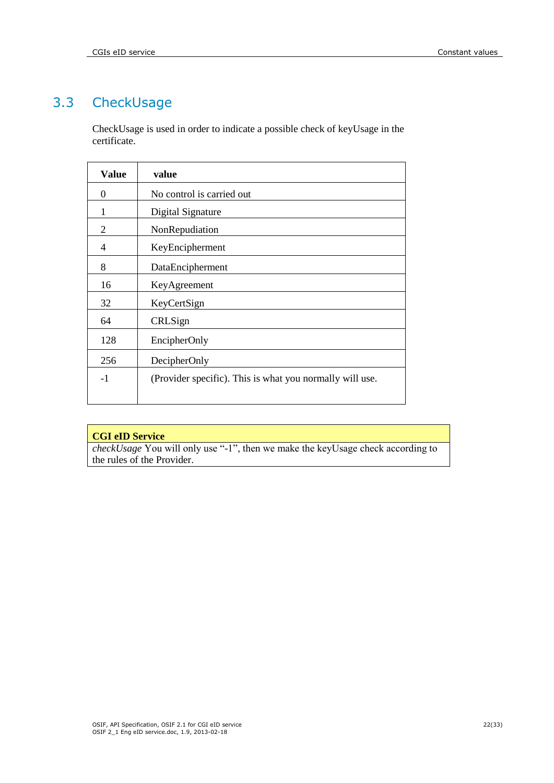# 3.3 CheckUsage

<span id="page-21-0"></span>CheckUsage is used in order to indicate a possible check of keyUsage in the certificate.

| <b>Value</b>   | value                                                    |
|----------------|----------------------------------------------------------|
| $\Omega$       | No control is carried out                                |
| 1              | Digital Signature                                        |
| 2              | NonRepudiation                                           |
| $\overline{4}$ | KeyEncipherment                                          |
| 8              | DataEncipherment                                         |
| 16             | KeyAgreement                                             |
| 32             | KeyCertSign                                              |
| 64             | CRLSign                                                  |
| 128            | EncipherOnly                                             |
| 256            | DecipherOnly                                             |
| $-1$           | (Provider specific). This is what you normally will use. |

# **CGI eID Service**

*checkUsage* You will only use "-1", then we make the keyUsage check according to the rules of the Provider.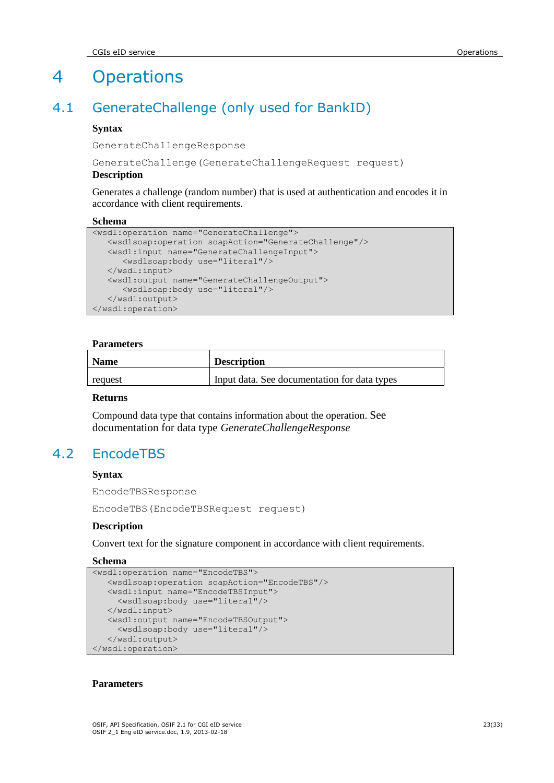# 4 Operations

# 4.1 GenerateChallenge (only used for BankID)

### **Syntax**

GenerateChallengeResponse

GenerateChallenge(GenerateChallengeRequest request)

### **Description**

Generates a challenge (random number) that is used at authentication and encodes it in accordance with client requirements.

#### **Schema**

```
<wsdl:operation name="GenerateChallenge">
    <wsdlsoap:operation soapAction="GenerateChallenge"/>
   <wsdl:input name="GenerateChallengeInput">
      <wsdlsoap:body use="literal"/>
    </wsdl:input>
    <wsdl:output name="GenerateChallengeOutput">
      <wsdlsoap:body use="literal"/>
    </wsdl:output>
</wsdl:operation>
```
### **Parameters**

| <b>Name</b> | <b>Description</b>                           |
|-------------|----------------------------------------------|
| request     | Input data. See documentation for data types |

### **Returns**

Compound data type that contains information about the operation. See documentation for data type *GenerateChallengeResponse*

# 4.2 EncodeTBS

### **Syntax**

EncodeTBSResponse

EncodeTBS(EncodeTBSRequest request)

#### **Description**

Convert text for the signature component in accordance with client requirements.

#### **Schema**

```
<wsdl:operation name="EncodeTBS">
   <wsdlsoap:operation soapAction="EncodeTBS"/>
   <wsdl:input name="EncodeTBSInput">
      <wsdlsoap:body use="literal"/>
    </wsdl:input>
    <wsdl:output name="EncodeTBSOutput">
     <wsdlsoap:body use="literal"/>
    </wsdl:output>
</wsdl:operation>
```
#### **Parameters**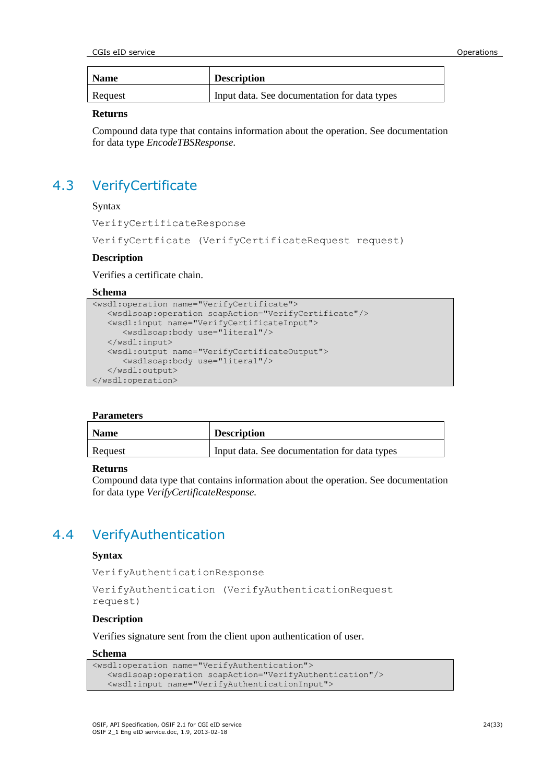| <b>Name</b> | <b>Description</b>                           |
|-------------|----------------------------------------------|
| Request     | Input data. See documentation for data types |

#### **Returns**

Compound data type that contains information about the operation. See documentation for data type *EncodeTBSResponse*.

# 4.3 VerifyCertificate

Syntax

VerifyCertificateResponse

VerifyCertficate (VerifyCertificateRequest request)

### **Description**

Verifies a certificate chain.

#### **Schema**

```
<wsdl:operation name="VerifyCertificate">
   <wsdlsoap:operation soapAction="VerifyCertificate"/>
    <wsdl:input name="VerifyCertificateInput">
      <wsdlsoap:body use="literal"/>
   </wsdl:input>
    <wsdl:output name="VerifyCertificateOutput">
      <wsdlsoap:body use="literal"/>
    </wsdl:output>
</wsdl:operation>
```
#### **Parameters**

| <b>Name</b> | <b>Description</b>                           |
|-------------|----------------------------------------------|
| Request     | Input data. See documentation for data types |

#### **Returns**

Compound data type that contains information about the operation. See documentation for data type *VerifyCertificateResponse.*

# 4.4 VerifyAuthentication

#### **Syntax**

VerifyAuthenticationResponse

```
VerifyAuthentication (VerifyAuthenticationRequest 
request)
```
# **Description**

Verifies signature sent from the client upon authentication of user.

## **Schema**

```
<wsdl:operation name="VerifyAuthentication">
   <wsdlsoap:operation soapAction="VerifyAuthentication"/>
   <wsdl:input name="VerifyAuthenticationInput">
```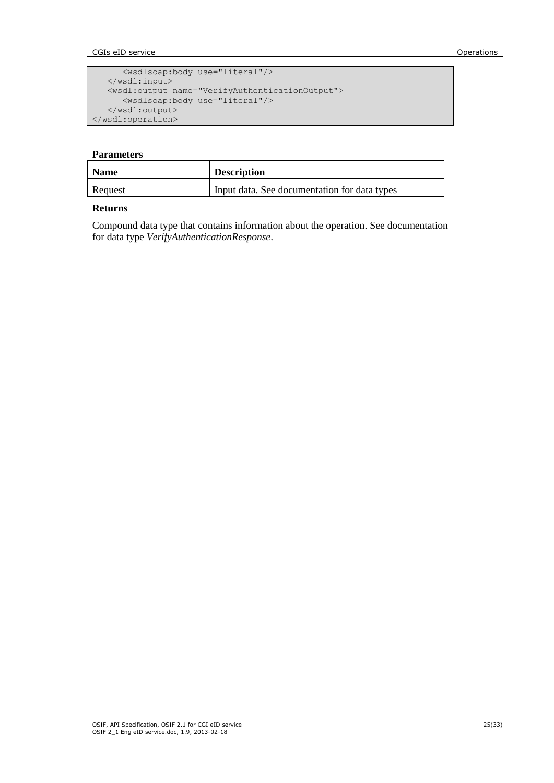CGIs eID service Operations

```
 <wsdlsoap:body use="literal"/>
    </wsdl:input>
   <wsdl:output name="VerifyAuthenticationOutput">
       <wsdlsoap:body use="literal"/>
    </wsdl:output>
</wsdl:operation>
```
### **Parameters**

| <b>Name</b> | <b>Description</b>                           |
|-------------|----------------------------------------------|
| Request     | Input data. See documentation for data types |

### **Returns**

Compound data type that contains information about the operation. See documentation for data type *VerifyAuthenticationResponse*.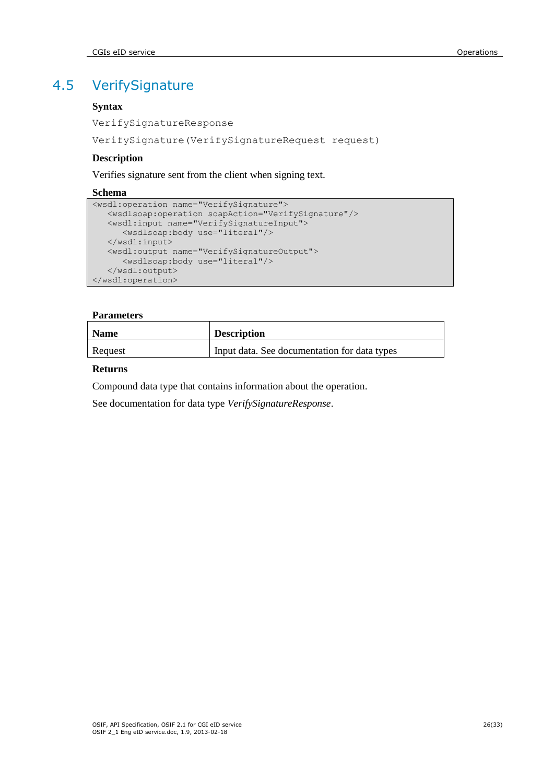# 4.5 VerifySignature

# **Syntax**

VerifySignatureResponse

VerifySignature(VerifySignatureRequest request)

## **Description**

Verifies signature sent from the client when signing text.

### **Schema**

```
<wsdl:operation name="VerifySignature">
   <wsdlsoap:operation soapAction="VerifySignature"/>
   <wsdl:input name="VerifySignatureInput">
      <wsdlsoap:body use="literal"/>
   </wsdl:input>
   <wsdl:output name="VerifySignatureOutput">
      <wsdlsoap:body use="literal"/>
    </wsdl:output>
</wsdl:operation>
```
### **Parameters**

| <b>Name</b> | <b>Description</b>                           |
|-------------|----------------------------------------------|
| Request     | Input data. See documentation for data types |

### **Returns**

Compound data type that contains information about the operation.

See documentation for data type *VerifySignatureResponse*.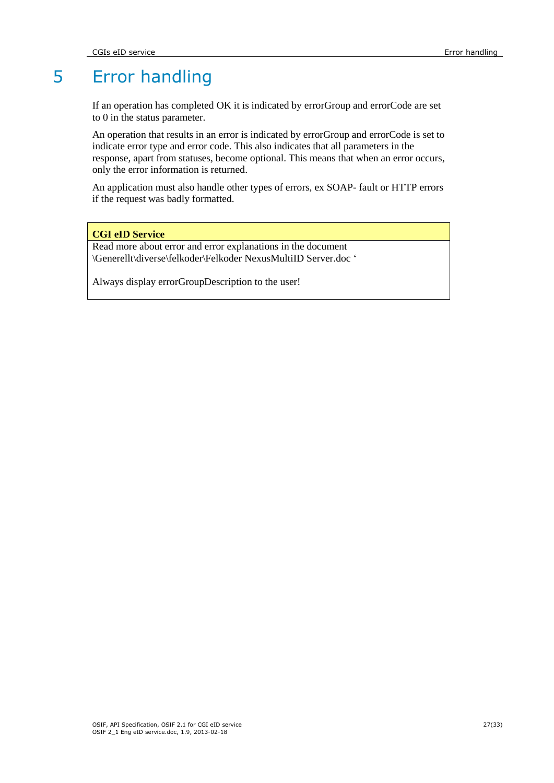# 5 Error handling

If an operation has completed OK it is indicated by errorGroup and errorCode are set to 0 in the status parameter.

An operation that results in an error is indicated by errorGroup and errorCode is set to indicate error type and error code. This also indicates that all parameters in the response, apart from statuses, become optional. This means that when an error occurs, only the error information is returned.

An application must also handle other types of errors, ex SOAP- fault or HTTP errors if the request was badly formatted.

### **CGI eID Service**

Read more about error and error explanations in the document \Generellt\diverse\felkoder\Felkoder NexusMultiID Server.doc "

Always display errorGroupDescription to the user!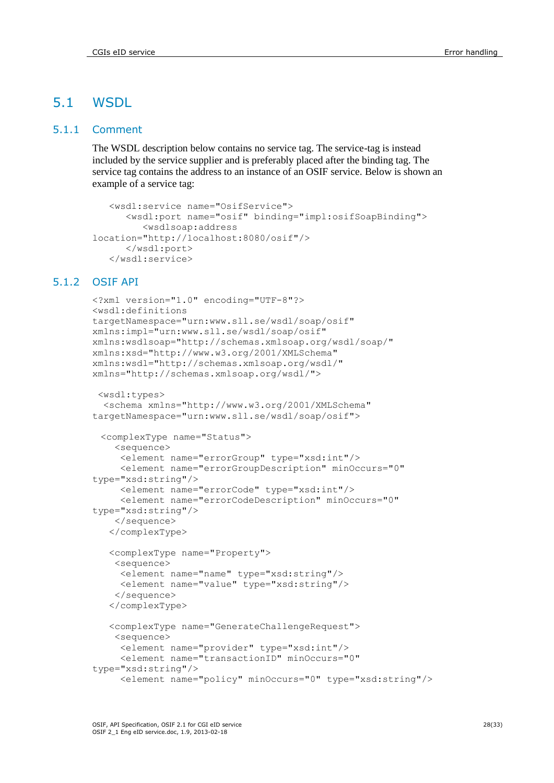# 5.1 WSDL

# 5.1.1 Comment

The WSDL description below contains no service tag. The service-tag is instead included by the service supplier and is preferably placed after the binding tag. The service tag contains the address to an instance of an OSIF service. Below is shown an example of a service tag:

```
 <wsdl:service name="OsifService">
       <wsdl:port name="osif" binding="impl:osifSoapBinding">
          <wsdlsoap:address 
location="http://localhost:8080/osif"/>
       </wsdl:port>
    </wsdl:service>
```
# 5.1.2 OSIF API

```
<?xml version="1.0" encoding="UTF-8"?>
<wsdl:definitions 
targetNamespace="urn:www.sll.se/wsdl/soap/osif" 
xmlns:impl="urn:www.sll.se/wsdl/soap/osif" 
xmlns:wsdlsoap="http://schemas.xmlsoap.org/wsdl/soap/" 
xmlns:xsd="http://www.w3.org/2001/XMLSchema" 
xmlns:wsdl="http://schemas.xmlsoap.org/wsdl/" 
xmlns="http://schemas.xmlsoap.org/wsdl/">
```

```
<wsdl:types>
  <schema xmlns="http://www.w3.org/2001/XMLSchema" 
targetNamespace="urn:www.sll.se/wsdl/soap/osif">
  <complexType name="Status">
```

```
 <sequence>
      <element name="errorGroup" type="xsd:int"/>
      <element name="errorGroupDescription" minOccurs="0" 
type="xsd:string"/>
```

```
 <element name="errorCode" type="xsd:int"/>
      <element name="errorCodeDescription" minOccurs="0" 
type="xsd:string"/>
```

```
 </sequence>
```

```
 </complexType>
```

```
 <complexType name="Property">
 <sequence>
   <element name="name" type="xsd:string"/>
   <element name="value" type="xsd:string"/>
  </sequence>
 </complexType>
```

```
 <complexType name="GenerateChallengeRequest">
```

```
 <sequence>
      <element name="provider" type="xsd:int"/>
      <element name="transactionID" minOccurs="0" 
type="xsd:string"/>
      <element name="policy" minOccurs="0" type="xsd:string"/>
```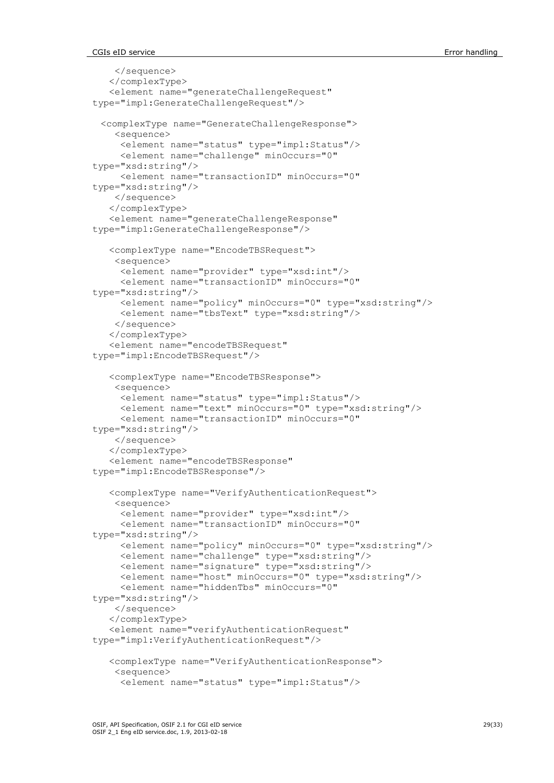```
 </sequence>
    </complexType>
    <element name="generateChallengeRequest" 
type="impl:GenerateChallengeRequest"/>
  <complexType name="GenerateChallengeResponse">
     <sequence>
      <element name="status" type="impl:Status"/>
      <element name="challenge" minOccurs="0" 
type="xsd:string"/>
      <element name="transactionID" minOccurs="0" 
type="xsd:string"/>
     </sequence>
    </complexType>
    <element name="generateChallengeResponse" 
type="impl:GenerateChallengeResponse"/>
    <complexType name="EncodeTBSRequest">
     <sequence>
      <element name="provider" type="xsd:int"/>
      <element name="transactionID" minOccurs="0" 
type="xsd:string"/>
      <element name="policy" minOccurs="0" type="xsd:string"/>
      <element name="tbsText" type="xsd:string"/>
     </sequence>
    </complexType>
    <element name="encodeTBSRequest" 
type="impl:EncodeTBSRequest"/>
    <complexType name="EncodeTBSResponse">
     <sequence>
      <element name="status" type="impl:Status"/>
      <element name="text" minOccurs="0" type="xsd:string"/>
      <element name="transactionID" minOccurs="0" 
type="xsd:string"/>
     </sequence>
    </complexType>
    <element name="encodeTBSResponse" 
type="impl:EncodeTBSResponse"/>
    <complexType name="VerifyAuthenticationRequest">
     <sequence>
      <element name="provider" type="xsd:int"/>
      <element name="transactionID" minOccurs="0" 
type="xsd:string"/>
      <element name="policy" minOccurs="0" type="xsd:string"/>
      <element name="challenge" type="xsd:string"/>
      <element name="signature" type="xsd:string"/>
      <element name="host" minOccurs="0" type="xsd:string"/>
      <element name="hiddenTbs" minOccurs="0" 
type="xsd:string"/>
     </sequence>
    </complexType>
    <element name="verifyAuthenticationRequest" 
type="impl:VerifyAuthenticationRequest"/>
    <complexType name="VerifyAuthenticationResponse">
     <sequence>
      <element name="status" type="impl:Status"/>
```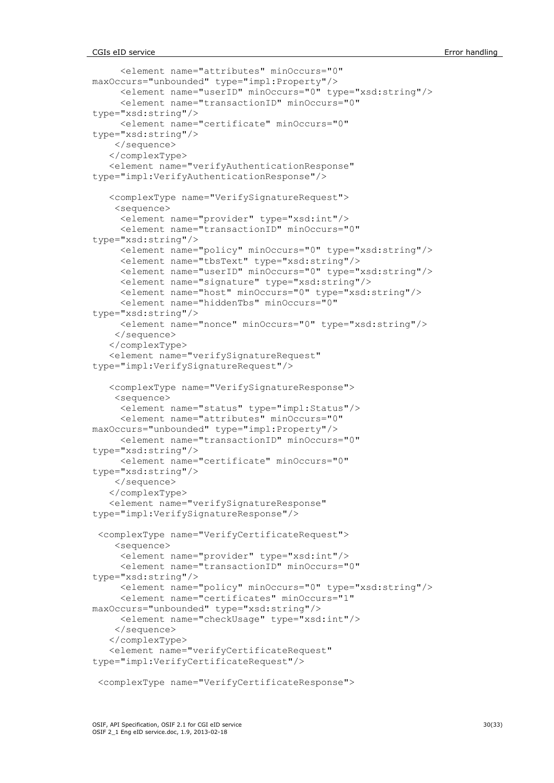```
 <element name="attributes" minOccurs="0" 
maxOccurs="unbounded" type="impl:Property"/>
      <element name="userID" minOccurs="0" type="xsd:string"/>
      <element name="transactionID" minOccurs="0" 
type="xsd:string"/>
      <element name="certificate" minOccurs="0" 
type="xsd:string"/>
     </sequence>
    </complexType>
    <element name="verifyAuthenticationResponse" 
type="impl:VerifyAuthenticationResponse"/>
    <complexType name="VerifySignatureRequest">
     <sequence>
      <element name="provider" type="xsd:int"/>
      <element name="transactionID" minOccurs="0" 
type="xsd:string"/>
      <element name="policy" minOccurs="0" type="xsd:string"/>
      <element name="tbsText" type="xsd:string"/>
      <element name="userID" minOccurs="0" type="xsd:string"/>
      <element name="signature" type="xsd:string"/>
      <element name="host" minOccurs="0" type="xsd:string"/>
      <element name="hiddenTbs" minOccurs="0" 
type="xsd:string"/>
      <element name="nonce" minOccurs="0" type="xsd:string"/>
     </sequence>
    </complexType>
    <element name="verifySignatureRequest" 
type="impl:VerifySignatureRequest"/>
    <complexType name="VerifySignatureResponse">
     <sequence>
      <element name="status" type="impl:Status"/>
      <element name="attributes" minOccurs="0" 
maxOccurs="unbounded" type="impl:Property"/>
      <element name="transactionID" minOccurs="0" 
type="xsd:string"/>
      <element name="certificate" minOccurs="0" 
type="xsd:string"/>
     </sequence>
    </complexType>
    <element name="verifySignatureResponse" 
type="impl:VerifySignatureResponse"/>
  <complexType name="VerifyCertificateRequest">
     <sequence>
      <element name="provider" type="xsd:int"/>
      <element name="transactionID" minOccurs="0" 
type="xsd:string"/>
      <element name="policy" minOccurs="0" type="xsd:string"/>
      <element name="certificates" minOccurs="1" 
maxOccurs="unbounded" type="xsd:string"/>
      <element name="checkUsage" type="xsd:int"/>
     </sequence>
    </complexType>
    <element name="verifyCertificateRequest" 
type="impl:VerifyCertificateRequest"/>
  <complexType name="VerifyCertificateResponse">
```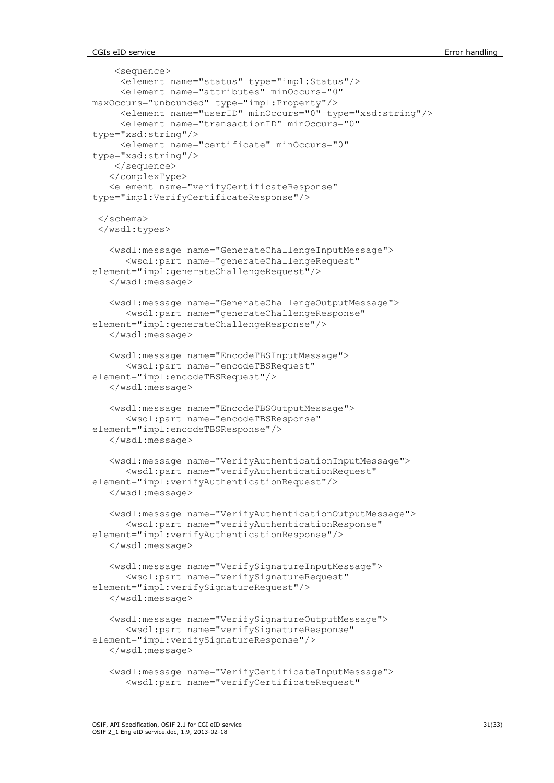```
 <sequence>
      <element name="status" type="impl:Status"/>
      <element name="attributes" minOccurs="0" 
maxOccurs="unbounded" type="impl:Property"/>
      <element name="userID" minOccurs="0" type="xsd:string"/>
      <element name="transactionID" minOccurs="0" 
type="xsd:string"/>
      <element name="certificate" minOccurs="0" 
type="xsd:string"/>
     </sequence>
    </complexType>
    <element name="verifyCertificateResponse" 
type="impl:VerifyCertificateResponse"/>
  </schema>
 </wsdl:types>
    <wsdl:message name="GenerateChallengeInputMessage">
       <wsdl:part name="generateChallengeRequest" 
element="impl:generateChallengeRequest"/>
    </wsdl:message>
    <wsdl:message name="GenerateChallengeOutputMessage">
       <wsdl:part name="generateChallengeResponse" 
element="impl:generateChallengeResponse"/>
    </wsdl:message>
    <wsdl:message name="EncodeTBSInputMessage">
       <wsdl:part name="encodeTBSRequest" 
element="impl:encodeTBSRequest"/>
    </wsdl:message>
    <wsdl:message name="EncodeTBSOutputMessage">
       <wsdl:part name="encodeTBSResponse" 
element="impl:encodeTBSResponse"/>
    </wsdl:message>
    <wsdl:message name="VerifyAuthenticationInputMessage">
       <wsdl:part name="verifyAuthenticationRequest" 
element="impl:verifyAuthenticationRequest"/>
    </wsdl:message>
    <wsdl:message name="VerifyAuthenticationOutputMessage">
       <wsdl:part name="verifyAuthenticationResponse" 
element="impl:verifyAuthenticationResponse"/>
    </wsdl:message>
    <wsdl:message name="VerifySignatureInputMessage">
       <wsdl:part name="verifySignatureRequest" 
element="impl:verifySignatureRequest"/>
    </wsdl:message>
    <wsdl:message name="VerifySignatureOutputMessage">
       <wsdl:part name="verifySignatureResponse" 
element="impl:verifySignatureResponse"/>
    </wsdl:message>
    <wsdl:message name="VerifyCertificateInputMessage">
       <wsdl:part name="verifyCertificateRequest"
```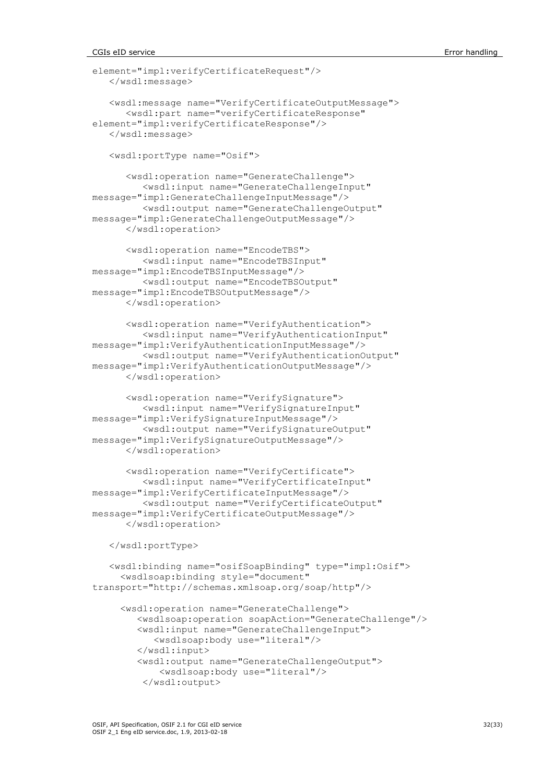#### CGIs eID service **Error handling** Error handling

```
element="impl:verifyCertificateRequest"/>
    </wsdl:message>
    <wsdl:message name="VerifyCertificateOutputMessage">
       <wsdl:part name="verifyCertificateResponse" 
element="impl:verifyCertificateResponse"/>
    </wsdl:message>
    <wsdl:portType name="Osif">
       <wsdl:operation name="GenerateChallenge">
          <wsdl:input name="GenerateChallengeInput" 
message="impl:GenerateChallengeInputMessage"/>
          <wsdl:output name="GenerateChallengeOutput" 
message="impl:GenerateChallengeOutputMessage"/>
       </wsdl:operation>
       <wsdl:operation name="EncodeTBS">
          <wsdl:input name="EncodeTBSInput" 
message="impl:EncodeTBSInputMessage"/>
          <wsdl:output name="EncodeTBSOutput" 
message="impl:EncodeTBSOutputMessage"/>
       </wsdl:operation>
       <wsdl:operation name="VerifyAuthentication">
          <wsdl:input name="VerifyAuthenticationInput" 
message="impl:VerifyAuthenticationInputMessage"/>
         <wsdl:output name="VerifyAuthenticationOutput" 
message="impl:VerifyAuthenticationOutputMessage"/>
       </wsdl:operation>
       <wsdl:operation name="VerifySignature">
          <wsdl:input name="VerifySignatureInput" 
message="impl:VerifySignatureInputMessage"/>
          <wsdl:output name="VerifySignatureOutput" 
message="impl:VerifySignatureOutputMessage"/>
       </wsdl:operation>
       <wsdl:operation name="VerifyCertificate">
          <wsdl:input name="VerifyCertificateInput" 
message="impl:VerifyCertificateInputMessage"/>
          <wsdl:output name="VerifyCertificateOutput" 
message="impl:VerifyCertificateOutputMessage"/>
       </wsdl:operation>
    </wsdl:portType>
    <wsdl:binding name="osifSoapBinding" type="impl:Osif">
      <wsdlsoap:binding style="document" 
transport="http://schemas.xmlsoap.org/soap/http"/>
      <wsdl:operation name="GenerateChallenge">
         <wsdlsoap:operation soapAction="GenerateChallenge"/>
         <wsdl:input name="GenerateChallengeInput">
            <wsdlsoap:body use="literal"/>
         </wsdl:input>
         <wsdl:output name="GenerateChallengeOutput">
             <wsdlsoap:body use="literal"/>
```

```
 </wsdl:output>
```
OSIF, API Specification, OSIF 2.1 for CGI eID service 32(33) 32(33) OSIF 2\_1 Eng eID service.doc, 1.9, 2013-02-18